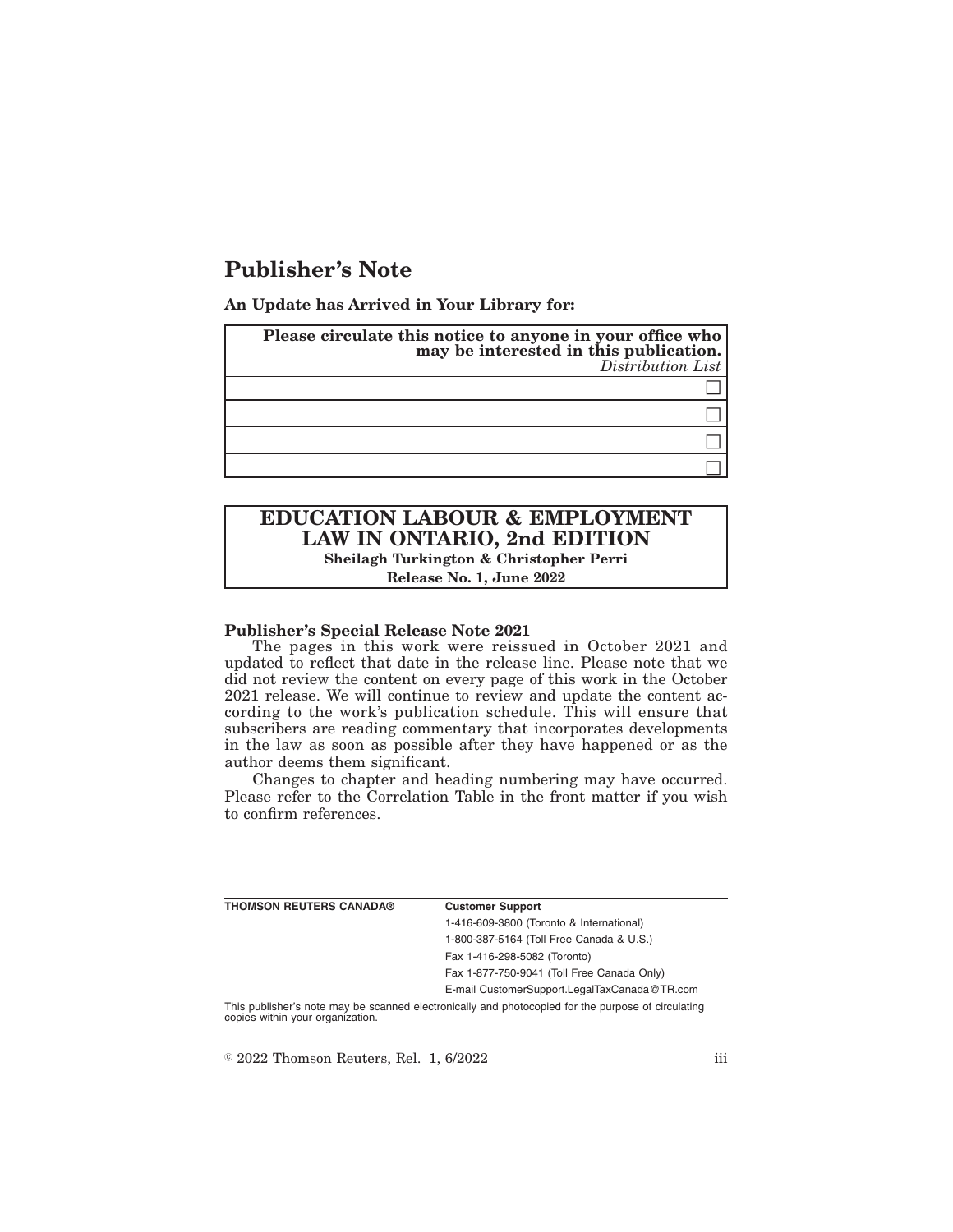# **Publisher's Note**

**An Update has Arrived in Your Library for:**

| Please circulate this notice to anyone in your office who<br>may be interested in this publication.<br>Distribution List |
|--------------------------------------------------------------------------------------------------------------------------|
|                                                                                                                          |
|                                                                                                                          |
|                                                                                                                          |
|                                                                                                                          |

# **EDUCATION LABOUR & EMPLOYMENT LAW IN ONTARIO, 2nd EDITION Sheilagh Turkington & Christopher Perri**

**Release No. 1, June 2022**

## **Publisher's Special Release Note 2021**

The pages in this work were reissued in October 2021 and updated to reflect that date in the release line. Please note that we did not review the content on every page of this work in the October 2021 release. We will continue to review and update the content according to the work's publication schedule. This will ensure that subscribers are reading commentary that incorporates developments in the law as soon as possible after they have happened or as the author deems them significant.

Changes to chapter and heading numbering may have occurred. Please refer to the Correlation Table in the front matter if you wish to confirm references.

| THOMSON REUTERS CANADA® | <b>Customer Support</b>                      |
|-------------------------|----------------------------------------------|
|                         | 1-416-609-3800 (Toronto & International)     |
|                         | 1-800-387-5164 (Toll Free Canada & U.S.)     |
|                         | Fax 1-416-298-5082 (Toronto)                 |
|                         | Fax 1-877-750-9041 (Toll Free Canada Only)   |
|                         | E-mail CustomerSupport.LegalTaxCanada@TR.com |
|                         |                                              |

This publisher's note may be scanned electronically and photocopied for the purpose of circulating copies within your organization.

 $\textdegree$  2022 Thomson Reuters, Rel. 1, 6/2022 iii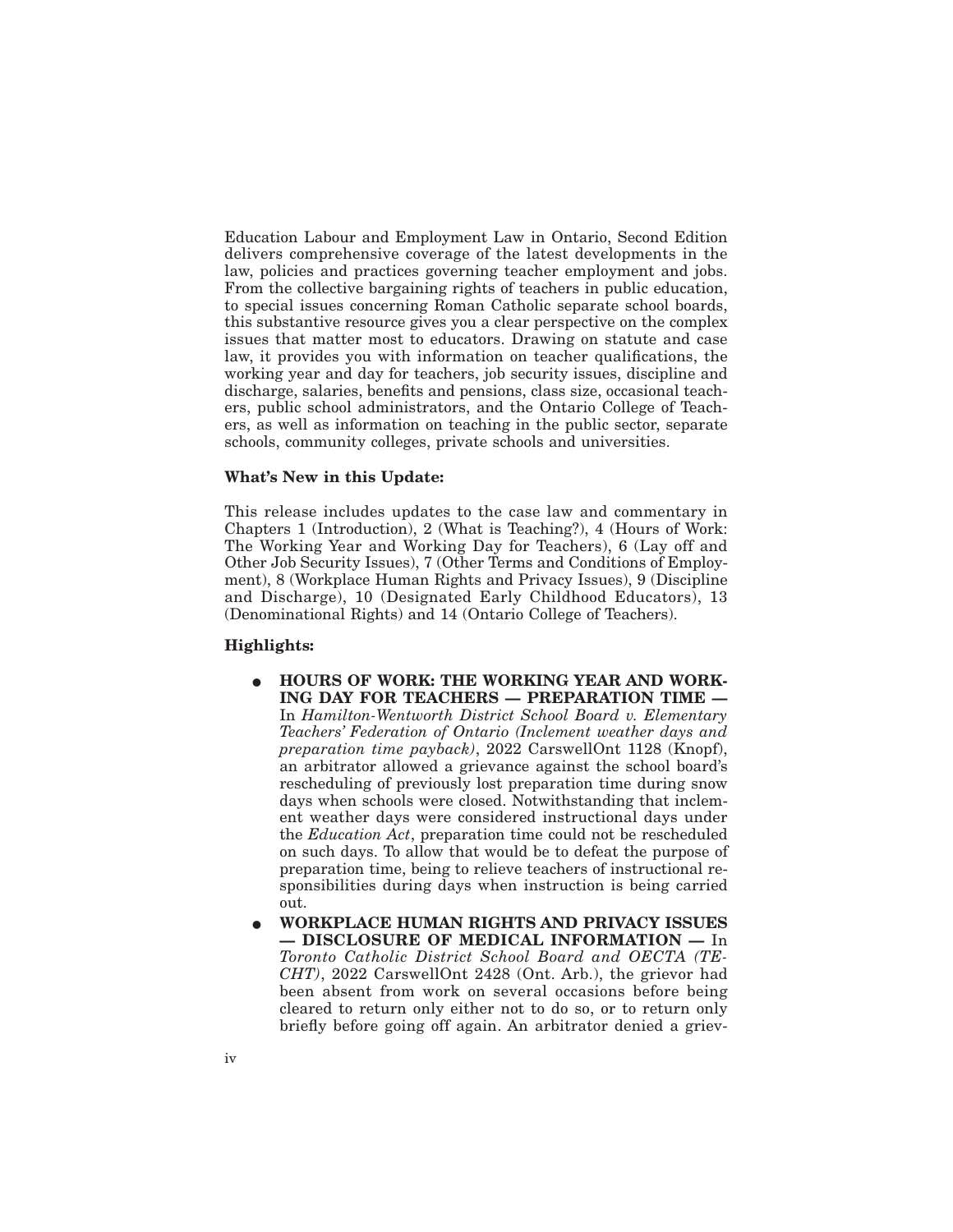Education Labour and Employment Law in Ontario, Second Edition delivers comprehensive coverage of the latest developments in the law, policies and practices governing teacher employment and jobs. From the collective bargaining rights of teachers in public education, to special issues concerning Roman Catholic separate school boards, this substantive resource gives you a clear perspective on the complex issues that matter most to educators. Drawing on statute and case law, it provides you with information on teacher qualifications, the working year and day for teachers, job security issues, discipline and discharge, salaries, benefits and pensions, class size, occasional teachers, public school administrators, and the Ontario College of Teachers, as well as information on teaching in the public sector, separate schools, community colleges, private schools and universities.

## **What's New in this Update:**

This release includes updates to the case law and commentary in Chapters 1 (Introduction), 2 (What is Teaching?), 4 (Hours of Work: The Working Year and Working Day for Teachers), 6 (Lay off and Other Job Security Issues), 7 (Other Terms and Conditions of Employment), 8 (Workplace Human Rights and Privacy Issues), 9 (Discipline and Discharge), 10 (Designated Early Childhood Educators), 13 (Denominational Rights) and 14 (Ontario College of Teachers).

#### **Highlights:**

- $\bullet$  HOURS OF WORK: THE WORKING YEAR AND WORK-**ING DAY FOR TEACHERS — PREPARATION TIME —** In *Hamilton-Wentworth District School Board v. Elementary Teachers' Federation of Ontario (Inclement weather days and preparation time payback)*, 2022 CarswellOnt 1128 (Knopf), an arbitrator allowed a grievance against the school board's rescheduling of previously lost preparation time during snow days when schools were closed. Notwithstanding that inclement weather days were considered instructional days under the *Education Act*, preparation time could not be rescheduled on such days. To allow that would be to defeat the purpose of preparation time, being to relieve teachers of instructional responsibilities during days when instruction is being carried out.
- E **WORKPLACE HUMAN RIGHTS AND PRIVACY ISSUES — DISCLOSURE OF MEDICAL INFORMATION —** In *Toronto Catholic District School Board and OECTA (TE-CHT)*, 2022 CarswellOnt 2428 (Ont. Arb.), the grievor had been absent from work on several occasions before being cleared to return only either not to do so, or to return only briefly before going off again. An arbitrator denied a griev-